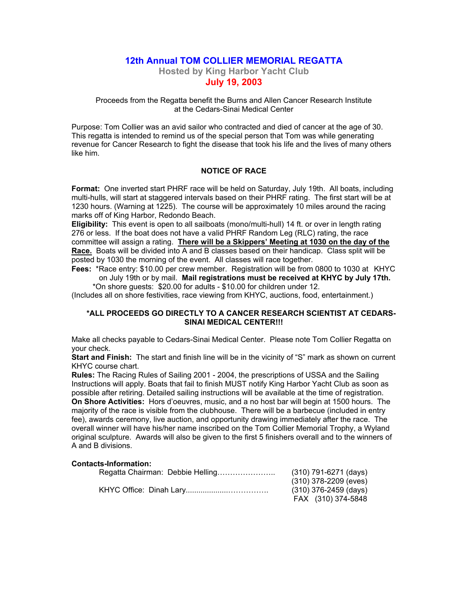# **12th Annual TOM COLLIER MEMORIAL REGATTA**

**Hosted by King Harbor Yacht Club July 19, 2003**

Proceeds from the Regatta benefit the Burns and Allen Cancer Research Institute at the Cedars-Sinai Medical Center

Purpose: Tom Collier was an avid sailor who contracted and died of cancer at the age of 30. This regatta is intended to remind us of the special person that Tom was while generating revenue for Cancer Research to fight the disease that took his life and the lives of many others like him.

### **NOTICE OF RACE**

**Format:** One inverted start PHRF race will be held on Saturday, July 19th. All boats, including multi-hulls, will start at staggered intervals based on their PHRF rating. The first start will be at 1230 hours. (Warning at 1225). The course will be approximately 10 miles around the racing marks off of King Harbor, Redondo Beach.

**Eligibility:** This event is open to all sailboats (mono/multi-hull) 14 ft. or over in length rating 276 or less. If the boat does not have a valid PHRF Random Leg (RLC) rating, the race committee will assign a rating. **There will be a Skippers' Meeting at 1030 on the day of the Race.** Boats will be divided into A and B classes based on their handicap. Class split will be posted by 1030 the morning of the event. All classes will race together.

**Fees:** \*Race entry: \$10.00 per crew member. Registration will be from 0800 to 1030 at KHYC on July 19th or by mail. **Mail registrations must be received at KHYC by July 17th.** \*On shore guests: \$20.00 for adults - \$10.00 for children under 12.

(Includes all on shore festivities, race viewing from KHYC, auctions, food, entertainment.)

## **\*ALL PROCEEDS GO DIRECTLY TO A CANCER RESEARCH SCIENTIST AT CEDARS-SINAI MEDICAL CENTER!!!**

Make all checks payable to Cedars-Sinai Medical Center. Please note Tom Collier Regatta on your check.

**Start and Finish:** The start and finish line will be in the vicinity of "S" mark as shown on current KHYC course chart.

**Rules:** The Racing Rules of Sailing 2001 - 2004, the prescriptions of USSA and the Sailing Instructions will apply. Boats that fail to finish MUST notify King Harbor Yacht Club as soon as possible after retiring. Detailed sailing instructions will be available at the time of registration. **On Shore Activities:** Hors d'oeuvres, music, and a no host bar will begin at 1500 hours. The majority of the race is visible from the clubhouse. There will be a barbecue (included in entry fee), awards ceremony, live auction, and opportunity drawing immediately after the race. The overall winner will have his/her name inscribed on the Tom Collier Memorial Trophy, a Wyland original sculpture. Awards will also be given to the first 5 finishers overall and to the winners of A and B divisions.

### **Contacts-Information:**

| (310) 791-6271 (days)   |
|-------------------------|
| (310) 378-2209 (eves)   |
| $(310)$ 376-2459 (days) |
| FAX (310) 374-5848      |